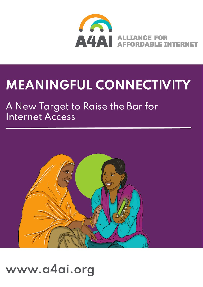

# **MEANINGFUL CONNECTIVITY**

# A New Target to Raise the Bar for **Internet Access**



# www.a4ai.org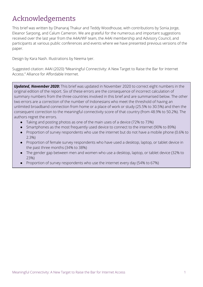# <span id="page-1-0"></span>Acknowledgements

This brief was written by Dhanaraj Thakur and Teddy Woodhouse, with contributions by Sonia Jorge, Eleanor Sarpong, and Calum Cameron. We are grateful for the numerous and important suggestions received over the last year from the A4AI/WF team, the A4AI membership and Advisory Council, and participants at various public conferences and events where we have presented previous versions of the paper.

Design by Kara Nash. Illustrations by Neema Iyer.

Suggested citation: A4AI (2020) "Meaningful Connectivity: A New Target to Raise the Bar for Internet Access." Alliance for Affordable Internet.

*Updated, November 2020***:** This brief was updated in November 2020 to correct eight numbers in the original edition of the report. Six of these errors are the consequence of incorrect calculation of summary numbers from the three countries involved in this brief and are summarised below. The other two errors are a correction of the number of Indonesians who meet the threshold of having an unlimited broadband connection from home or a place of work or study (25.5% to 30.5%) and then the consequent correction to the meaningful connectivity score of that country (from 48.9% to 50.2%). The authors regret the errors.

- Taking and posting photos as one of the main uses of a device (72% to 73%)
- Smartphones as the most frequently used device to connect to the internet (90% to 89%)
- Proportion of survey respondents who use the internet but do not have a mobile phone (0.6% to 2.3%)
- Proportion of female survey respondents who have used a desktop, laptop, or tablet device in the past three months (34% to 38%)
- The gender gap between men and women who use a desktop, laptop, or tablet device (32% to 23%)
- Proportion of survey respondents who use the internet every day (54% to 67%)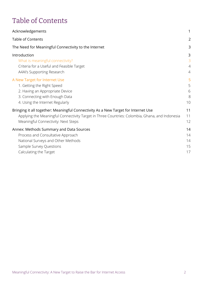# <span id="page-2-0"></span>Table of Contents

| Acknowledgements                                                                               | 1  |
|------------------------------------------------------------------------------------------------|----|
| <b>Table of Contents</b>                                                                       | 2  |
| The Need for Meaningful Connectivity to the Internet                                           | 3  |
| Introduction                                                                                   | 3  |
| What is meaningful connectivity?                                                               | 3  |
| Criteria for a Useful and Feasible Target                                                      | 4  |
| A4AI's Supporting Research                                                                     | 4  |
| A New Target for Internet Use                                                                  | 5  |
| 1. Getting the Right Speed                                                                     | 5  |
| 2. Having an Appropriate Device                                                                | 6  |
| 3. Connecting with Enough Data                                                                 | 8  |
| 4. Using the Internet Regularly                                                                | 10 |
| Bringing it all together: Meaningful Connectivity As a New Target for Internet Use             | 11 |
| Applying the Meaningful Connectivity Target in Three Countries: Colombia, Ghana, and Indonesia | 11 |
| Meaningful Connectivity: Next Steps                                                            | 12 |
| Annex: Methods Summary and Data Sources                                                        | 14 |
| Process and Consultative Approach                                                              | 14 |
| National Surveys and Other Methods                                                             | 14 |
| Sample Survey Questions                                                                        | 15 |
| Calculating the Target                                                                         | 17 |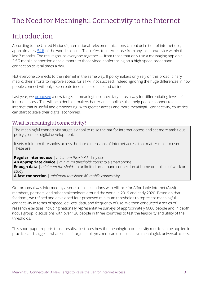# <span id="page-3-0"></span>The Need for Meaningful Connectivity to the Internet

## <span id="page-3-1"></span>Introduction

According to the United Nations' (International Telecommunications Union) definition of internet use, approximately [54%](https://www.itu.int/en/ITU-D/Statistics/Pages/stat/default.aspx) of the world is online. This refers to internet use from any location/device within the last 3 months. The result groups everyone together — from those that only use a messaging app on a 2.5G mobile connection once a month to those video-conferencing on a high-speed broadband connection several times a day.

Not everyone connects to the internet in the same way. If policymakers only rely on this broad, binary metric, their efforts to improve access for all will not succeed. Indeed, ignoring the huge differences in how people connect will only exacerbate inequalities online and offline.

Last year, we [proposed](https://a4ai.org/raising-the-bar-for-internet-access-introducing-meaningful-connectivity/) a new target — meaningful connectivity — as a way for differentiating levels of internet access. This will help decision makers better enact policies that help people connect to an internet that is useful and empowering. With greater access and more meaningful connectivity, countries can start to scale their digital economies.

#### <span id="page-3-2"></span>What is meaningful connectivity?

The meaningful connectivity target is a tool to raise the bar for internet access and set more ambitious policy goals for digital development.

It sets minimum thresholds across the four dimensions of internet access that matter most to users. These are:

**Regular internet use** | *minimum threshold:* daily use **An appropriate device** | *minimum threshold: access to* a smartphone **Enough data** | *minimum threshold:* an unlimited broadband connection at home or a place of work or study

**A fast connection** | *minimum threshold: 4G mobile connectivity*

Our proposal was informed by a series of consultations with Alliance for Affordable Internet (A4AI) members, partners, and other stakeholders around the world in 2019 and early 2020. Based on that feedback, we refined and developed four proposed minimum thresholds to represent meaningful connectivity in terms of speed, devices, data, and frequency of use. We then conducted a series of research exercises including nationally representative surveys of approximately 6000 people and in depth (focus group) discussions with over 120 people in three countries to test the feasibility and utility of the thresholds.

This short paper reports those results, illustrates how the meaningful connectivity metric can be applied in practice, and suggests what kinds of targets policymakers can use to achieve meaningful, universal access.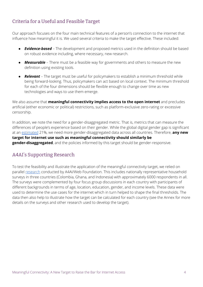### <span id="page-4-0"></span>Criteria for a Useful and Feasible Target

Our approach focuses on the four main technical features of a person's connection to the internet that influence how meaningful it is. We used several criteria to make the target effective. These included:

- *Evidence-based* The development and proposed metrics used in the definition should be based on robust evidence including, where necessary, new research.
- *Measurable* There must be a feasible way for governments and others to measure the new definition using existing tools.
- *Relevant* The target must be useful for policymakers to establish a minimum threshold while being forward-looking. Thus, policymakers can act based on local context. The minimum threshold for each of the four dimensions should be flexible enough to change over time as new technologies and ways to use them emerge.

We also assume that **meaningful connectivity implies access to the open internet** and precludes artificial (either economic or political) restrictions, such as platform-exclusive zero-rating or excessive censorship.

In addition, we note the need for a gender-disaggregated metric. That is, metrics that can measure the differences of people's experience based on their gender. While the global digital gender gap is significant at an [estimated](https://webfoundation.org/2020/03/the-gender-gap-in-internet-access-using-a-women-centred-method/) 21%, we need more gender-disaggregated data across all countries. Therefore, **any new target for internet use such as meaningful connectivity should similarly be gender-disaggregated**, and the policies informed by this target should be gender-responsive.

#### <span id="page-4-1"></span>A4AI's Supporting Research

To test the feasibility and illustrate the application of the meaningful connectivity target, we relied on parallel [research](https://webfoundation.org/2019/10/deepening-our-understanding-of-the-digital-gender-divide-web-foundation-womens-rights-online-2019-household-survey/) conducted by A4AI/Web Foundation. This includes nationally representative household surveys in three countries (Colombia, Ghana, and Indonesia) with approximately 6000 respondents in all. The surveys were complemented by four focus group discussions in each country with participants of different backgrounds in terms of age, location, education, gender, and income levels. These data were used to determine the use cases for the internet which in turn helped to shape the final thresholds. The data then also help to illustrate how the target can be calculated for each country (see the Annex for more details on the surveys and other research used to develop the target).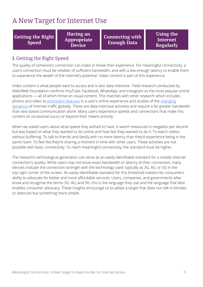## <span id="page-5-0"></span>A New Target for Internet Use

**Getting the Right Speed**

**Having an Appropriate Device**

**Connecting with Enough Data**

**Using the Internet Regularly**

#### <span id="page-5-1"></span>1. Getting the Right Speed

The quality of someone's connection can make or break their experience. For meaningful connectivity, a user's connection must be reliable, of sufficient bandwidth, and with a low enough latency to enable them to experience the wealth of the internet's potential. Video content is part of this experience.

Video content is what people want to access and is also data intensive.. Field research conducted by A4AI/Web Foundation confirms YouTube, Facebook, WhatsApp, and Instagram as the most popular online applications — all of which thrive on visual content. This matches with other research which includes photos and video as [prominent](https://www.pewresearch.org/internet/2019/08/22/in-emerging-economies-smartphone-and-social-media-users-have-broader-social-networks/) features in a user's online experience and studies of the [changing](https://www.ericsson.com/en/mobility-report/reports/november-2019/mobile-traffic-by-application-category) [dynamics](https://www.ericsson.com/en/mobility-report/reports/november-2019/mobile-traffic-by-application-category) of internet traffic globally. These are data-intensive activities and require a far greater bandwidth than text-based communication alone. Many users experience speeds and connections that make this content an occasional luxury or beyond their means entirely.

When we asked users about what speed they wished to have, it wasn't measured in megabits per second but was based on what they wanted to do online and how fast they wanted to do it. To watch videos without buffering. To talk to friends and family with no more latency than they'd experience being in the same room. To feel like they're sharing a moment in time with other users. These activities are not possible with basic connectivity. To reach meaningful connectivity, the standard must be higher.

The network's technological generation can serve as an easily identifiable standard for a mobile internet connection's quality. While users may not know exact bandwidth or latency of their connection, many devices indicate the connection strength with the technology used: typically as 3G, 4G, or 5G in the top-right corner of the screen. An easily-identifiable standard for this threshold matters for consumers' ability to advocate for better and more affordable services. Users, companies, and governments alike know and recognise the terms 3G, 4G, and 5G: this is the language they use and the language that best enables consumer advocacy. These insights encourage us to adopt a target that does not talk in bitrates or latencies but something more simple.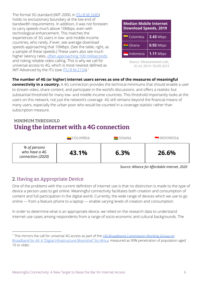The formal 3G standard (IMT-2000, in ITU-R [M.1645](https://www.itu.int/dms_pubrec/itu-r/rec/m/R-REC-M.1645-0-200306-I!!PDF-E.pdf)) holds no exclusionary boundary at the low end of bandwidth requirements. In addition, it was not foreseen to carry speeds much above 10Mbps, even with technological enhancement. This matches the experiences of 3G users in low- and middle-income countries, who rarely, if ever, see average download speeds approaching that 10Mbps. (See the table, right, as a sample of these speeds.) These users also see much higher latency rates, often [approaching](https://www.opensignal.com/market-insights) 100 milliseconds and risking reliable video calling. This is why we call for universal access to 4G, which is most-nearest defined as IMT-Advanced by the ITU (see <u>ITU-R [M.2134](https://www.itu.int/dms_pub/itu-r/opb/rep/R-REP-M.2134-2008-PDF-E.pdf)</u>).<sup>1</sup>

| <b>Median Mobile Internet</b><br><b>Download Speeds, 2019</b> |                  |  |
|---------------------------------------------------------------|------------------|--|
| $\blacksquare$ Colombia                                       | <b>3.43 Mbps</b> |  |
| $\blacksquare$ Ghana                                          | $0.92$ Mbps      |  |
| $\blacksquare$ Indonesia                                      | $1.11$ Mbps      |  |

*Source:* Measurement Lab, 01.01.2019–30.09.2019

#### **The number of 4G (or higher) internet users serves as one of the measures of meaningful**

**connectivity in a country.** A 4G connection provides the technical minimums that should enable a user to stream video, share content, and participate in the world's discussions. and offers a realistic but substantial threshold for many low- and middle-income countries. This threshold importantly looks at the users on this network, not just the network's coverage. 4G still remains beyond the financial means of many users, especially the urban poor who would be counted in a coverage statistic rather than subscription measure.

#### MINIMUM THRESHOLD **Using the internet with a 4G connection**

|                                                    | $\blacksquare$ COLOMBIA | $\blacksquare$ GHANA | INDONESIA |
|----------------------------------------------------|-------------------------|----------------------|-----------|
| % of persons<br>who have a 4G<br>connection (2020) | 43.1%                   | 6.3%                 | 26.6%     |

*Source: Alliance for Affordable Internet, 2020*

#### <span id="page-6-0"></span>2. Having an Appropriate Device

One of the problems with the current definition of internet use is that no distinction is made to the type of device a person uses to get online. Meaningful connectivity facilitates both creation and consumption of content and full participation in the digital world. Currently, the wide range of devices which we use to go online — from a feature phone to a laptop — enable varying levels of creation and consumption.

In order to determine what is an appropriate device, we relied on the research data to understand internet use cases among respondents from a range of socio-economic and cultural backgrounds. The

<sup>&</sup>lt;sup>1</sup> This mirrors the call for universal 4G access as part of the UN Broadband [Commission](https://broadbandcommission.org/workinggroups/Pages/WG2-2018.aspx) Working Group on Broadband for All: A "Digital [Infrastructure](https://broadbandcommission.org/workinggroups/Pages/WG2-2018.aspx) Moonshot" for Africa; measured as 90% penetration of population aged 10 or older.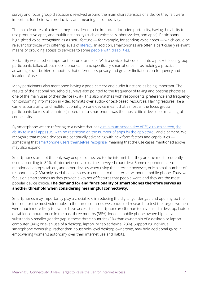survey and focus group discussions revolved around the main characteristics of a device they felt were important for their own productivity and meaningful connectivity.

The main features of a device they considered to be important included portability, having the ability to use productive apps, and multifunctionality (such as voice calls, photo/video, and apps). Participants highlighted voice recognition as a useful feature — for example, for sending voice notes — which could be relevant for those with differing levels of *[literacy](https://webfoundation.org/research/who-wins-who-loses-understanding-womens-experiences-of-social-media-taxation-in-east-and-southern-africa/)*. In addition, smartphones are often a particularly relevant means of providing access to services to some people with [disabilities](https://www.un.org/development/desa/disabilities/wp-content/uploads/sites/15/2019/07/disability-report-chapter2.pdf).

Portability was another important feature for users. With a device that could fit into a pocket, focus group participants talked about mobile phones — and specifically smartphones — as holding a practical advantage over bulkier computers that offered less privacy and greater limitations on frequency and location of use.

Many participants also mentioned having a good camera and audio functions as being important. The results of the national household surveys also pointed to the frequency of taking and posting photos as one of the main uses of their device (73%). This also matches with respondents' preference and frequency for consuming information in video formats over audio- or text-based resources. Having features like a camera, portability, and multifunctionality on one device meant that almost all the focus group participants (across all countries) noted that a smartphone was the most critical device for meaningful connectivity.

By smartphone we are referring to a device that has a [minimum](https://www.pcmag.com/encyclopedia/term/cellphones-vs-smartphones) screen size of 3", a touch screen, [the](https://www.itu.int/dms_pub/itu-d/opb/ind/D-IND-ITCMEAS-2014-C2-PDF-E.pdf) ability to install apps (i.e., with no [restriction](https://www.itu.int/dms_pub/itu-d/opb/ind/D-IND-ITCMEAS-2014-C2-PDF-E.pdf) on the number of apps by the app store), and a camera. We recognize that mobile devices are continually advancing with new form factors and capabilities something that [smartphone](https://www.pewresearch.org/internet/2019/06/13/mobile-technology-and-home-broadband-2019/pi_2019-06-13_broadband_0-02/) users themselves recognise, meaning that the use cases mentioned above may also expand.

Smartphones are not the only way people connected to the internet, but they are the most frequently used (according to 89% of internet users across the surveyed countries). Some respondents also mentioned laptops, tablets, and other devices when using the internet: however, only a small number of respondents (2.3%) only used those devices to connect to the internet without a mobile phone. Thus, we focus on smartphones as they provide a key set of features that people want, and they are the most popular device choice. **The demand for and functionality of smartphones therefore serves as another threshold when considering meaningful connectivity.**

Smartphones may importantly play a crucial role in reducing the digital gender gap and opening up the internet for the most vulnerable. In the three countries we conducted research to test the target, women were much more likely to own or have access to a smartphone (67%) than to have used a desktop, laptop, or tablet computer once in the past three months (38%). Indeed, mobile phone ownership has a substantially smaller gender gap in these three countries (3%) than ownership of a desktop or laptop computer (34%) or even use of a desktop, laptop, or tablet device (23%). Supporting individual smartphone ownership, rather than household-level desktop ownership, may hold additional gains in empowering women's autonomy over their internet use and habits.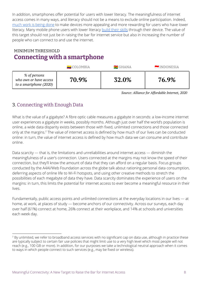In addition, smartphones offer potential for users with lower literacy. The meaningfulness of internet access comes in many ways, and literacy should not be a means to exclude online participation. Indeed, [much](https://www.kaiostech.com/first-time-internet-users-in-nigeria-use-the-internet-in-a-unique-way-heres-why-that-matters/) work is being done to make devices more appealing and more rewarding for users who have lower literacy. Many mobile phone users with lower literacy [build](https://unesdoc.unesco.org/ark:/48223/pf0000227436) their skills through their device. The value of this target should not just be in raising the bar for internet service but also in increasing the number of people who can connect to and use the internet.

## MINIMUM THRESHOLD **Connecting with a smartphone**

|                                                                  | $\blacksquare$ COLOMBIA | $\blacksquare$ GHANA | INDONESIA |
|------------------------------------------------------------------|-------------------------|----------------------|-----------|
| % of persons<br>who own or have access<br>to a smartphone (2020) | 70.9%                   | 32.0%                | 76.9%     |

*Source: Alliance for Affordable Internet, 2020*

## <span id="page-8-0"></span>3. Connecting with Enough Data

What is the value of a gigabyte? A fibre optic cable measures a gigabyte in seconds: a low-income internet user experiences a gigabyte in weeks, possibly months. Although just over half the world's population is online, a wide data disparity exists between those with fixed, unlimited connections and those connected only at the margins.<sup>2</sup> The value of internet access is defined by how much of our lives can be conducted online: in turn, the value of internet access is defined by how much data we can consume and contribute online.

Data scarcity — that is, the limitations and unreliabilities around internet access — diminish the meaningfulness of a user's connection. Users connected at the margins may not know the speed of their connection, but they'll know the amount of data that they can afford on a regular basis. Focus groups conducted by the A4AI/Web Foundation across the globe talk about rationing personal data consumption, deferring aspects of online life to Wi-Fi hotspots, and using other creative methods to stretch the possibilities of each megabyte of data they have. Data scarcity dominates the experience of users on the margins: in turn, this limits the potential for internet access to ever become a meaningful resource in their lives.

Fundamentally, public access points and unlimited connections at the everyday locations in our lives — at home, at work, at places of study — become anchors of our connectivity. Across our surveys, each day over half (61%) connect at home, 26% connect at their workplace, and 14% at schools and universities each week day.

<sup>&</sup>lt;sup>2</sup> By unlimited, we refer to broadband access services with no significant cap on data use, although in practice these are typically subject to certain fair use policies that might limit use to a very high level which most people will not reach (e.g., 100 GB or more). In addition, for our purposes we take a technological neutral approach when it comes to ways in which people connect to such services (e.g., may be fixed or wireless).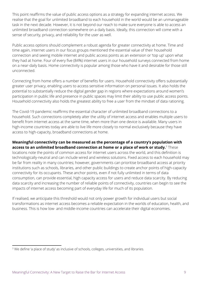This point reaffirms the value of public access options as a strategy for expanding internet access. We realise that the goal for unlimited broadband to each household in the world would be an unmanageable task in the next decade. However, it is not beyond our reach to make sure everyone is able to access an unlimited broadband connection somewhere on a daily basis. Ideally, this connection will come with a sense of security, privacy, and reliability for the user as well.

Public access options should complement a robust agenda for greater connectivity at home. Time and time again, internet users in our focus groups mentioned the essential value of their household connection and seeing mobile internet and public access points as an extension or 'top up' upon what they had at home. Four of every five (84%) internet users in our household surveys connected from home on a near-daily basis. Home connectivity is popular among those who have it and desirable for those still unconnected.

Connecting from home offers a number of benefits for users. Household connectivity offers substantially greater user privacy, enabling users to access sensitive information on personal issues. It also holds the potential to substantially reduce the digital gender gap in regions where expectations around women's participation in public life and presence in public spaces may limit their ability to use public access points. Household connectivity also holds the greatest ability to free a user from the mindset of data rationing.

The Covid-19 pandemic reaffirms the essential character of unlimited broadband connections to a household. Such connections completely alter the utility of internet access and enables multiple users to benefit from internet access at the same time, when more than one device is available. Many users in high-income countries today are able to live life more closely to normal exclusively because they have access to high-capacity, broadband connections at home.

#### **Meaningful connectivity can be measured as the percentage of a country's population with access to an unlimited broadband connection at home or a place of work or study.** These 3

locations note the points of common access for internet users across the world, and this definition is technologically-neutral and can include wired and wireless solutions. Fixed access to each household may be far from reality in many countries; however, governments can prioritise broadband access at priority institutions such as schools, libraries, and other public buildings to create anchor points of high-capacity connectivity for its occupants. These anchor points, even if not fully unlimited in terms of data consumption, can provide essential, high capacity access for users and reduce data scarcity. By reducing data scarcity and increasing the number of reliable points of connectivity, countries can begin to see the impacts of internet access becoming part of everyday life for much of its population.

If realised, we anticipate this threshold would not only power growth for individual users but social transformations as internet access becomes a reliable expectation in the worlds of education, health, and business. This is how low- and middle-income countries can accelerate their digital economies.

<sup>&</sup>lt;sup>3</sup> We define 'a place of study' as inclusive of schools, colleges, universities, and libraries.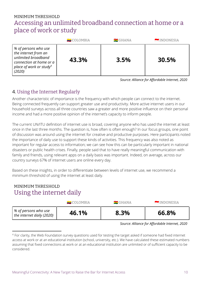## MINIMUM THRESHOLD Accessing an unlimited broadband connection at home or a place of work or study

|                                                                                                                                                 | $\blacksquare$ COLOMBIA | $\blacksquare$ GHANA | INDONESIA |
|-------------------------------------------------------------------------------------------------------------------------------------------------|-------------------------|----------------------|-----------|
| % of persons who use<br>the internet from an<br>unlimited broadband<br>connection at home or a<br>place of work or study <sup>4</sup><br>(2020) | 43.3%                   | 3.5%                 | 30.5%     |

*Source: Alliance for Affordable Internet, 2020*

### <span id="page-10-0"></span>4. Using the Internet Regularly

Another characteristic of importance is the frequency with which people can connect to the internet. Being connected frequently can support greater use and productivity. More active internet users in our household surveys across all three countries saw a greater and more positive influence on their personal income and had a more positive opinion of the internet's capacity to inform people.

The current UN/ITU definition of internet use is broad, covering anyone who has used the internet at least once in the last three months. The question is, how often is often enough? In our focus groups, one point of discussion was around using the internet for creative and productive purposes. Here participants noted the importance of daily use to support these kinds of activities. This frequency was also noted as important for regular access to information; we can see how this can be particularly important in national disasters or public health crises. Finally, people said that to have really meaningful communication with family and friends, using relevant apps on a daily basis was important. Indeed, on average, across our country surveys 67% of internet users are online every day.

Based on these insights, in order to differentiate between levels of internet use, we recommend a minimum threshold of using the internet at least daily.

## MINIMUM THRESHOLD Using the internet daily

|                                                     | $\blacksquare$ COLOMBIA | $\equiv$ GHANA | INDONESIA |
|-----------------------------------------------------|-------------------------|----------------|-----------|
| Ⅰ % of persons who use<br>the internet daily (2020) | 46.1%                   | 8.3%           | 66.8%     |

*Source: Alliance for Affordable Internet, 2020*

<sup>&</sup>lt;sup>4</sup> For clarity, the Web Foundation survey questions used for testing the target asked if someone had fixed internet access at work or at an educational institution (school, university, etc.). We have calculated these estimated numbers assuming that fixed connections at work or at an educational institution are unlimited or of sufficient capacity to be considered.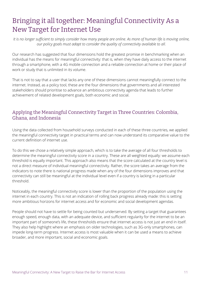# <span id="page-11-0"></span>Bringing it all together: Meaningful Connectivity As a New Target for Internet Use

It is no longer sufficient to simply consider how many people are online. As more of human life is moving online, *our policy goals must adapt to consider the quality of connectivity available to all.*

Our research has suggested that four dimensions hold the greatest promise in benchmarking when an individual has the means for meaningful connectivity: that is, when they have daily access to the internet through a smartphone, with a 4G mobile connection and a reliable connection at home or their place of work or study that is unlimited in its volume.

That is not to say that a user that lacks any one of these dimensions cannot meaningfully connect to the internet. Instead, as a policy tool, these are the four dimensions that governments and all interested stakeholders should prioritise to advance an ambitious connectivity agenda that leads to further achievement of related development goals, both economic and social.

#### <span id="page-11-1"></span>Applying the Meaningful Connectivity Target in Three Countries: Colombia, Ghana, and Indonesia

Using the data collected from household surveys conducted in each of these three countries, we applied the meaningful connectivity target in practical terms and can now understand its comparative value to the current definition of internet use.

To do this we chose a relatively simple approach, which is to take the average of all four thresholds to determine the meaningful connectivity score in a country. These are all weighted equally: we assume each threshold is equally important. This approach also means that the score calculated at the country level is not a direct measure of individual meaningful connectivity. Rather, the score takes an average from the indicators to note there is national progress made when any of the four dimensions improves and that connectivity can still be meaningful at the individual level even if a country is lacking in a particular threshold.

Noticeably, the meaningful connectivity score is lower than the proportion of the population using the internet in each country. This is not an indication of rolling back progress already made: this is setting more ambitious horizons for internet access and for economic and social development agendas.

People should not have to settle for being counted but underserved. By setting a target that guarantees enough speed, enough data, with an adequate device, and sufficient regularity for the internet to be an important part of someone's life, these thresholds ensure that internet access is not just an end in itself. They also help highlight where an emphasis on older technologies, such as 3G-only smartphones, can impede long-term progress. Internet access is most valuable when it can be used a means to achieve broader, and more important, social and economic goals.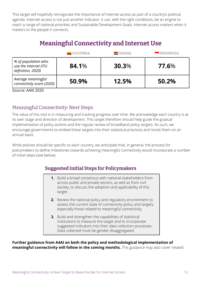This target will hopefully reinvigorate the importance of internet access as part of a country's political agenda. Internet access is not just another indicator: it can, with the right conditions, be an engine to reach a range of national priorities and Sustainable Development Goals. Internet access matters when it matters to the people it connects.

## **Meaningful Connectivity and Internet Use**

|                                                                   | $\blacksquare$ COLOMBIA | $\blacksquare$ GHANA | INDONESIA |
|-------------------------------------------------------------------|-------------------------|----------------------|-----------|
| % of population who<br>use the internet (ITU<br>definition, 2020) | 84.1%                   | $30.3\%$             | 77.6%     |
| Average meaningful<br>connectivity score (2020)                   | 50.9%                   | 12.5%                | 50.2%     |

Source: A4AI 2020

#### <span id="page-12-0"></span>Meaningful Connectivity: Next Steps

The value of this tool is in measuring and tracking progress over time. We acknowledge each country is at its own stage and direction of development. This target therefore should help guide the gradual implementation of policy actions and the regular review of broadband policy targets. As such, we encourage governments to embed these targets into their statistical practices and revisit them on an annual basis.

While policies should be specific to each country, we anticipate that, in general, the process for policymakers to define milestones towards achieving meaningful connectivity would incorporate a number of initial steps (see below).

#### **Suggested Initial Steps for Policymakers**

- **1.** Build a broad consensus with national stakeholders from across public and private sectors, as well as from civil society, to discuss the adoption and applicability of this target.
	- **2.** Review the national policy and regulatory environment to assess the current state of connectivity policy and targets, especially those related to meaningful connectivity.
	- **3.** Build and strengthen the capabilities of statistical institutions to measure the target and to incorporate suggested indicators into their data collection processes. Data collected must be gender-disaggregated.

**Further guidance from A4AI on both the policy and methodological implementation of meaningful connectivity will follow in the coming months.** This guidance may also cover related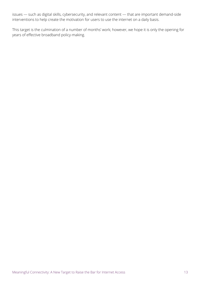issues — such as digital skills, cybersecurity, and relevant content — that are important demand-side interventions to help create the motivation for users to use the internet on a daily basis.

This target is the culmination of a number of months' work; however, we hope it is only the opening for years of effective broadband policy-making.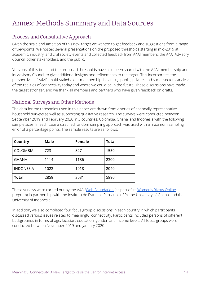# <span id="page-14-0"></span>Annex: Methods Summary and Data Sources

#### <span id="page-14-1"></span>Process and Consultative Approach

Given the scale and ambition of this new target we wanted to get feedback and suggestions from a range of viewpoints. We hosted several presentations on the proposed thresholds starting in mid-2019 at academic, industry, and civil society events and collected feedback from A4AI members, the A4AI Advisory Council, other stakeholders, and the public.

Versions of this brief and the proposed thresholds have also been shared with the A4AI membership and its Advisory Council to give additional insights and refinements to the target. This incorporates the perspectives of A4AI's multi-stakeholder membership: balancing public, private, and social sectors' analysis of the realities of connectivity today and where we could be in the future. These discussions have made the target stronger, and we thank all members and partners who have given feedback on drafts.

#### <span id="page-14-2"></span>National Surveys and Other Methods

The data for the thresholds used in this paper are drawn from a series of nationally representative household surveys as well as supporting qualitative research. The surveys were conducted between September 2019 and February 2020 in 3 countries: Colombia, Ghana, and Indonesia with the following sample sizes. In each case a stratified random sampling approach was used with a maximum sampling error of 3 percentage points. The sample results are as follows:

| Country          | <b>Male</b> | <b>Female</b> | <b>Total</b> |
|------------------|-------------|---------------|--------------|
| <b>COLOMBIA</b>  | 723         | 827           | 1550         |
| <b>GHANA</b>     | 1114        | 1186          | 2300         |
| <b>INDONESIA</b> | 1022        | 1018          | 2040         |
| <b>Total</b>     | 2859        | 3031          | 5890         |

These surveys were carried out by the A4AI/Web [Foundation](https://webfoundation.org/2019/10/deepening-our-understanding-of-the-digital-gender-divide-web-foundation-womens-rights-online-2019-household-survey/) (as part of its [Women's](https://webfoundation.org/our-work/projects/womens-rights-online/) Rights Online program) in partnership with the Instituto de Estudios Peruanos (IEP), the University of Ghana, and the University of Indonesia.

In addition, we also completed four focus group discussions in each country in which participants discussed various issues related to meaningful connectivity. Participants included persons of different backgrounds in terms of age, location, education, gender, and income levels. All focus groups were conducted between November 2019 and January 2020.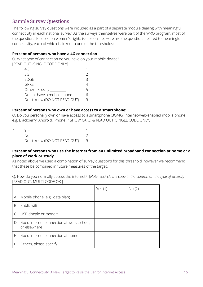#### <span id="page-15-0"></span>Sample Survey Questions

The following survey questions were included as a part of a separate module dealing with meaningful connectivity in each national survey. As the surveys themselves were part of the WRO program, most of the questions focused on women's rights issues online. Here are the questions related to meaningful connectivity, each of which is linked to one of the thresholds:

#### **Percent of persons who have a 4G connection**

Q. What type of connection do you have on your mobile device? **IREAD OUT -SINGLE CODE ONLYI** 

| 4G                           |   |
|------------------------------|---|
| 3G                           |   |
| <b>EDGE</b>                  | 3 |
| <b>GPRS</b>                  |   |
| Other - Specify _            | 5 |
| Do not have a mobile phone   |   |
| Don't know (DO NOT READ OUT) |   |
|                              |   |

#### **Percent of persons who own or have access to a smartphone:**

Q. Do you personally own or have access to a smartphone (3G/4G, internet/web-enabled mobile phone e.g. Blackberry, Android, iPhone )? SHOW CARD & READ OUT. SINGLE CODE ONLY.

| Yes.                         |  |
|------------------------------|--|
| NΩ                           |  |
| Don't know (DO NOT READ OUT) |  |

#### **Percent of persons who use the internet from an unlimited broadband connection at home or a place of work or study**

As noted above we used a combination of survey questions for this threshold, however we recommend that these be combined in future measures of the target.

Q. How do you normally access the internet? [*Note: encircle the code in the column on the type of access*]. [READ OUT. MULTI-CODE OK.]

|   |                                                            | Yes $(1)$ | No(2) |
|---|------------------------------------------------------------|-----------|-------|
| A | Mobile phone (e.g., data plan)                             |           |       |
| B | Public wifi                                                |           |       |
|   | USB dongle or modem                                        |           |       |
| D | Fixed internet connection at work, school,<br>or elsewhere |           |       |
| E | Fixed internet connection at home                          |           |       |
|   | Others, please specify                                     |           |       |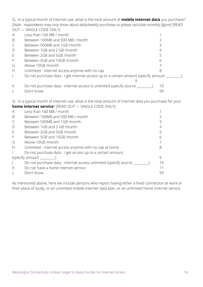Q. In a typical month of internet use, what is the total amount of **mobile internet data** you purchase? [*Note - respondents may only know about daily/weekly purchases so please calculate monthly figure*] [READ OUT — SINGLE CODE ONLY]

| $\overline{\mathsf{A}}$ | Less than 100 MB / month                                                            |    |
|-------------------------|-------------------------------------------------------------------------------------|----|
| B                       | Between 100MB and 500 MB / month                                                    |    |
|                         | Between 500MB and 1GB /month                                                        |    |
| $\mathsf{D}$            | Between 1GB and 2 GB /month                                                         |    |
| E                       | Between 2GB and 5GB /month                                                          |    |
| F                       | Between 5GB and 10GB / month                                                        | h  |
| G                       | Above 10GB / month                                                                  |    |
| H                       | Unlimited - internet access anytime with no cap                                     |    |
|                         | Do not purchase data - I get internet access up to a certain amount (specify amount |    |
| K                       | Do not purchase data - internet access is unlimited (specify source _               | 10 |
|                         | Don't know                                                                          | 99 |

Q. In a typical month of internet use, what is the total amount of internet data you purchase for your **home internet service**? [READ OUT — SINGLE CODE ONLY]

|              | <b>INDITIE INTERNET SEI VICE</b> : INLAD OUT — SINULL CODE ONLY     |    |  |  |  |
|--------------|---------------------------------------------------------------------|----|--|--|--|
| A            | Less than 100 MB / month                                            |    |  |  |  |
| B            | Between 100MB and 500 MB / month                                    |    |  |  |  |
| C            | Between 500MB and 1GB /month                                        |    |  |  |  |
| $\mathsf{D}$ | Between 1GB and 2 GB /month                                         |    |  |  |  |
| E            | Between 2GB and 5GB /month                                          |    |  |  |  |
| $\mathsf{F}$ | Between 5GB and 10GB /month                                         |    |  |  |  |
| G            | Above 10GB /month                                                   |    |  |  |  |
| H            | Unlimited - internet access anytime with no cap at home             |    |  |  |  |
|              | Do not purchase data - I get access up to a certain amount          |    |  |  |  |
|              | (specify amount                                                     |    |  |  |  |
|              | Do not purchase data - internet access unlimited (specify source __ | 10 |  |  |  |
| K            | Do not have a home internet service                                 | 11 |  |  |  |
|              | Don't know                                                          | 99 |  |  |  |

As mentioned above, here we include persons who report having either a fixed connection at work or their place of study, or an unlimited mobile internet data plan, or an unlimited home internet service.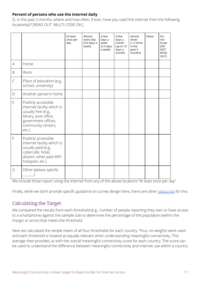#### **Percent of persons who use the internet daily**

Q. In the past 3 months, where and how often, if ever, have you used the internet from the following location(s)i? [READ OUT. MULTI-CODE OK.]

|                                                                                                        |                                                                                                                                                            | At least<br>once per<br>day | Almost<br>every day<br>(5-6 days a<br>week) | A few<br>days a<br>week<br>$(2-4 \text{ days})$<br>a week) | A few<br>days a<br>month<br>(up to 10<br>days a<br>month) | Almost<br>never<br>$(1-2 \times 1)$<br>in the<br>past 3<br>months) | Never | Do<br>not<br>know<br>(DO<br><b>NOT</b><br><b>READ</b><br>OUT) |
|--------------------------------------------------------------------------------------------------------|------------------------------------------------------------------------------------------------------------------------------------------------------------|-----------------------------|---------------------------------------------|------------------------------------------------------------|-----------------------------------------------------------|--------------------------------------------------------------------|-------|---------------------------------------------------------------|
| $\mathsf{A}% _{\mathsf{A}}^{\prime}=\mathsf{A}_{\mathsf{A}}^{\prime}=\mathsf{A}_{\mathsf{A}}^{\prime}$ | Home                                                                                                                                                       |                             |                                             |                                                            |                                                           |                                                                    |       |                                                               |
| $\mathsf B$                                                                                            | Work                                                                                                                                                       |                             |                                             |                                                            |                                                           |                                                                    |       |                                                               |
| $\mathsf{C}$                                                                                           | Place of education (e.g.,<br>school, university)                                                                                                           |                             |                                             |                                                            |                                                           |                                                                    |       |                                                               |
| $\mathsf{D}%$                                                                                          | Another person's home                                                                                                                                      |                             |                                             |                                                            |                                                           |                                                                    |       |                                                               |
| E                                                                                                      | Publicly accessible<br>internet facility which is<br>usually free (e.g.,<br>library, post office,<br>government offices,<br>community centers,<br>$etc.$ ) |                             |                                             |                                                            |                                                           |                                                                    |       |                                                               |
| F                                                                                                      | Publicly accessible<br>internet facility which is<br>usually paid (e.g.,<br>cybercafe, hotel,<br>airport, other paid WiFi<br>hotspots, etc.)               |                             |                                             |                                                            |                                                           |                                                                    |       |                                                               |
| G                                                                                                      | Other (please specify                                                                                                                                      |                             |                                             |                                                            |                                                           |                                                                    |       |                                                               |

We include those report using the internet from any of the above locations "At least once per day"

<span id="page-17-0"></span>Finally, while we don't provide specific guidance on survey design here, there are other [resources](https://webfoundation.org/2018/06/measuring-womens-connectivity-a-toolkit-for-researching-access-and-use/) for this.

#### Calculating the Target

We compared the results from each threshold (e.g., number of people reporting they own or have access to a smartphone) against the sample size to determine the percentage of the population (within the margin or error) that meets the threshold.

Next we calculated the simple mean of all four thresholds for each country. Thus, no weights were used and each threshold is treated as equally relevant when understanding meaningful connectivity. This average then provides us with the overall meaningful connectivity score for each country. The score can be used to understand the difference between meaningful connectivity and internet use within a country.